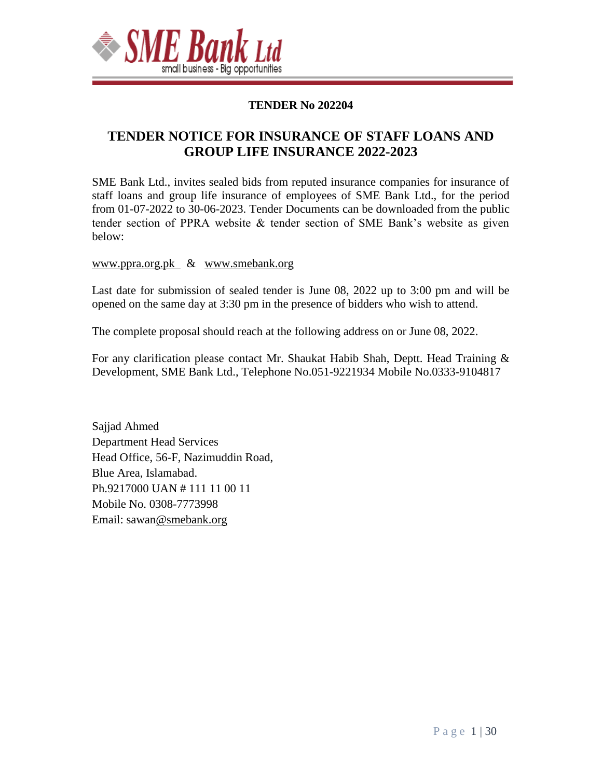

#### **TENDER No 202204**

# **TENDER NOTICE FOR INSURANCE OF STAFF LOANS AND GROUP LIFE INSURANCE 2022-2023**

SME Bank Ltd., invites sealed bids from reputed insurance companies for insurance of staff loans and group life insurance of employees of SME Bank Ltd., for the period from 01-07-2022 to 30-06-2023. Tender Documents can be downloaded from the public tender section of PPRA website & tender section of SME Bank's website as given below:

#### www.ppra.org.pk & [www.smebank.org](http://www.smebank.org/)

Last date for submission of sealed tender is June 08, 2022 up to 3:00 pm and will be opened on the same day at 3:30 pm in the presence of bidders who wish to attend.

The complete proposal should reach at the following address on or June 08, 2022.

For any clarification please contact Mr. Shaukat Habib Shah, Deptt. Head Training & Development, SME Bank Ltd., Telephone No.051-9221934 Mobile No.0333-9104817

Sajjad Ahmed Department Head Services Head Office, 56-F, Nazimuddin Road, Blue Area, Islamabad. Ph.9217000 UAN # 111 11 00 11 Mobile No. 0308-7773998 Email: sawa[n@smebank.org](mailto:hashfaq@smebank.org)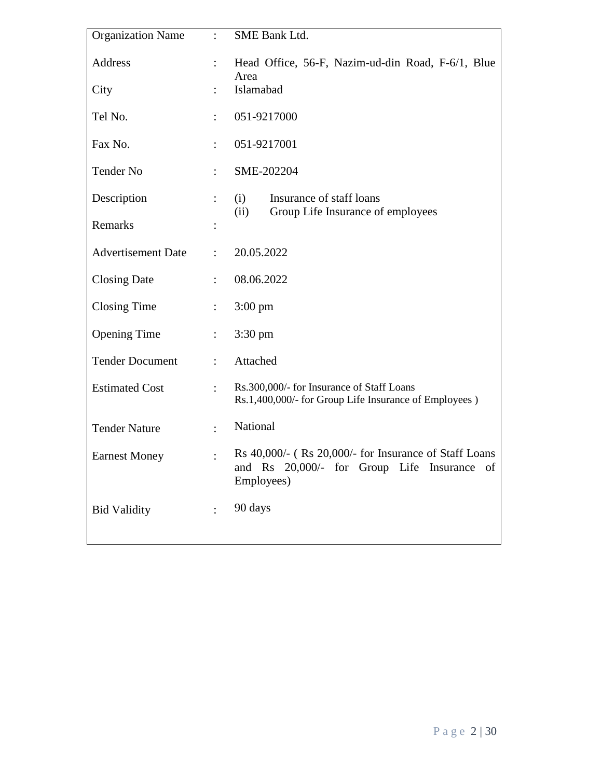| <b>Organization Name</b>  | $\ddot{\cdot}$ | SME Bank Ltd.                                                                                                         |  |
|---------------------------|----------------|-----------------------------------------------------------------------------------------------------------------------|--|
| Address                   | $\ddot{\cdot}$ | Head Office, 56-F, Nazim-ud-din Road, F-6/1, Blue<br>Area                                                             |  |
| City                      |                | Islamabad                                                                                                             |  |
| Tel No.                   |                | 051-9217000                                                                                                           |  |
| Fax No.                   | $\ddot{\cdot}$ | 051-9217001                                                                                                           |  |
| Tender No                 | $\ddot{\cdot}$ | SME-202204                                                                                                            |  |
| Description               | $\ddot{\cdot}$ | (i)<br>Insurance of staff loans<br>Group Life Insurance of employees<br>(ii)                                          |  |
| Remarks                   |                |                                                                                                                       |  |
| <b>Advertisement Date</b> | $\ddot{\cdot}$ | 20.05.2022                                                                                                            |  |
| <b>Closing Date</b>       | $\ddot{\cdot}$ | 08.06.2022                                                                                                            |  |
| <b>Closing Time</b>       | $\ddot{\cdot}$ | $3:00 \text{ pm}$                                                                                                     |  |
| <b>Opening Time</b>       | $\ddot{\cdot}$ | $3:30 \text{ pm}$                                                                                                     |  |
| <b>Tender Document</b>    | $\ddot{\cdot}$ | Attached                                                                                                              |  |
| <b>Estimated Cost</b>     | $\ddot{\cdot}$ | Rs.300,000/- for Insurance of Staff Loans<br>Rs.1,400,000/- for Group Life Insurance of Employees)                    |  |
| <b>Tender Nature</b>      | $\cdot$        | National                                                                                                              |  |
| <b>Earnest Money</b>      |                | Rs 40,000/- (Rs 20,000/- for Insurance of Staff Loans<br>and Rs 20,000/- for Group Life Insurance<br>of<br>Employees) |  |
| <b>Bid Validity</b>       | $\ddot{\cdot}$ | 90 days                                                                                                               |  |
|                           |                |                                                                                                                       |  |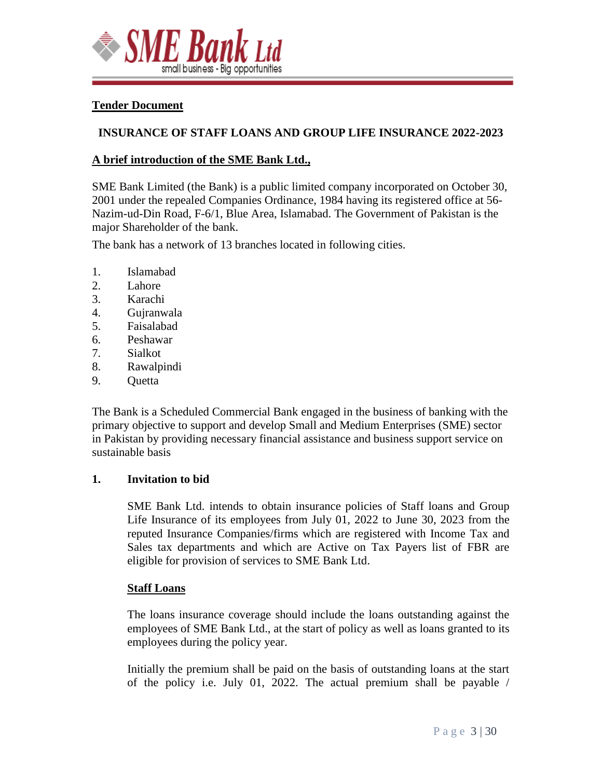

#### **Tender Document**

#### **INSURANCE OF STAFF LOANS AND GROUP LIFE INSURANCE 2022-2023**

#### **A brief introduction of the SME Bank Ltd.,**

SME Bank Limited (the Bank) is a public limited company incorporated on October 30, 2001 under the repealed Companies Ordinance, 1984 having its registered office at 56- Nazim-ud-Din Road, F-6/1, Blue Area, Islamabad. The Government of Pakistan is the major Shareholder of the bank.

The bank has a network of 13 branches located in following cities.

- 1. Islamabad
- 2. Lahore
- 3. Karachi
- 4. Gujranwala
- 5. Faisalabad
- 6. Peshawar
- 7. Sialkot
- 8. Rawalpindi
- 9. Quetta

The Bank is a Scheduled Commercial Bank engaged in the business of banking with the primary objective to support and develop Small and Medium Enterprises (SME) sector in Pakistan by providing necessary financial assistance and business support service on sustainable basis

#### **1. Invitation to bid**

SME Bank Ltd. intends to obtain insurance policies of Staff loans and Group Life Insurance of its employees from July 01, 2022 to June 30, 2023 from the reputed Insurance Companies/firms which are registered with Income Tax and Sales tax departments and which are Active on Tax Payers list of FBR are eligible for provision of services to SME Bank Ltd.

#### **Staff Loans**

The loans insurance coverage should include the loans outstanding against the employees of SME Bank Ltd., at the start of policy as well as loans granted to its employees during the policy year.

Initially the premium shall be paid on the basis of outstanding loans at the start of the policy i.e. July 01, 2022. The actual premium shall be payable /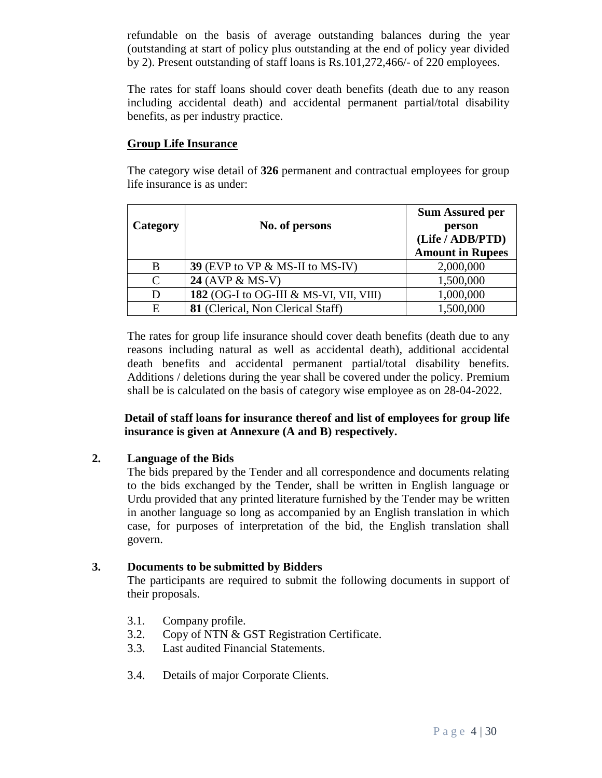refundable on the basis of average outstanding balances during the year (outstanding at start of policy plus outstanding at the end of policy year divided by 2). Present outstanding of staff loans is Rs.101,272,466/- of 220 employees.

The rates for staff loans should cover death benefits (death due to any reason including accidental death) and accidental permanent partial/total disability benefits, as per industry practice.

#### **Group Life Insurance**

The category wise detail of **326** permanent and contractual employees for group life insurance is as under:

| Category      | No. of persons                           | <b>Sum Assured per</b><br>person<br>(Life / ADB/PTD)<br><b>Amount in Rupees</b> |
|---------------|------------------------------------------|---------------------------------------------------------------------------------|
| B             | 39 (EVP to VP $\&$ MS-II to MS-IV)       | 2,000,000                                                                       |
| $\mathcal{C}$ | 24 (AVP & MS-V)                          | 1,500,000                                                                       |
| D             | 182 (OG-I to OG-III & MS-VI, VII, VIII)  | 1,000,000                                                                       |
| E             | <b>81</b> (Clerical, Non Clerical Staff) | 1,500,000                                                                       |

The rates for group life insurance should cover death benefits (death due to any reasons including natural as well as accidental death), additional accidental death benefits and accidental permanent partial/total disability benefits. Additions / deletions during the year shall be covered under the policy. Premium shall be is calculated on the basis of category wise employee as on 28-04-2022.

**Detail of staff loans for insurance thereof and list of employees for group life insurance is given at Annexure (A and B) respectively.**

#### **2. Language of the Bids**

The bids prepared by the Tender and all correspondence and documents relating to the bids exchanged by the Tender, shall be written in English language or Urdu provided that any printed literature furnished by the Tender may be written in another language so long as accompanied by an English translation in which case, for purposes of interpretation of the bid, the English translation shall govern.

#### **3. Documents to be submitted by Bidders**

The participants are required to submit the following documents in support of their proposals.

- 3.1. Company profile.
- 3.2. Copy of NTN & GST Registration Certificate.
- 3.3. Last audited Financial Statements.
- 3.4. Details of major Corporate Clients.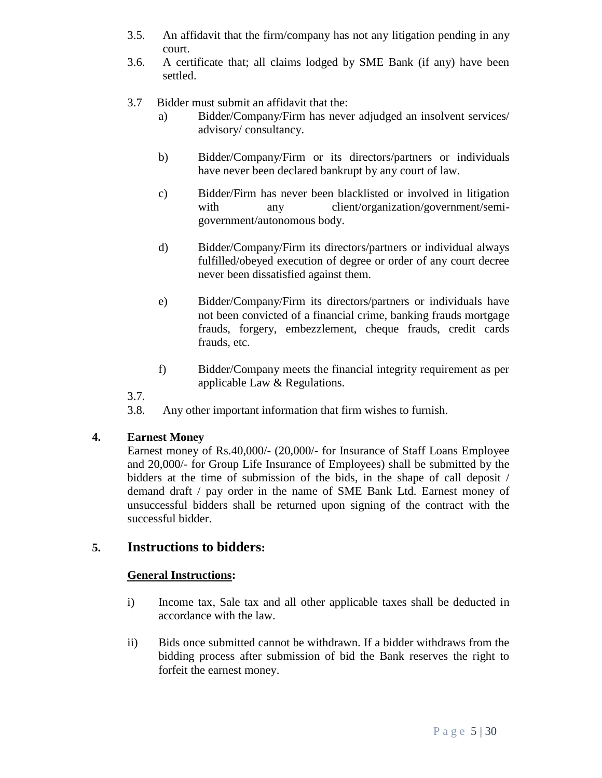- 3.5. An affidavit that the firm/company has not any litigation pending in any court.
- 3.6. A certificate that; all claims lodged by SME Bank (if any) have been settled.
- 3.7 Bidder must submit an affidavit that the:
	- a) Bidder/Company/Firm has never adjudged an insolvent services/ advisory/ consultancy.
	- b) Bidder/Company/Firm or its directors/partners or individuals have never been declared bankrupt by any court of law.
	- c) Bidder/Firm has never been blacklisted or involved in litigation with any client/organization/government/semigovernment/autonomous body.
	- d) Bidder/Company/Firm its directors/partners or individual always fulfilled/obeyed execution of degree or order of any court decree never been dissatisfied against them.
	- e) Bidder/Company/Firm its directors/partners or individuals have not been convicted of a financial crime, banking frauds mortgage frauds, forgery, embezzlement, cheque frauds, credit cards frauds, etc.
	- f) Bidder/Company meets the financial integrity requirement as per applicable Law & Regulations.

3.7.

3.8. Any other important information that firm wishes to furnish.

#### **4. Earnest Money**

Earnest money of Rs.40,000/- (20,000/- for Insurance of Staff Loans Employee and 20,000/- for Group Life Insurance of Employees) shall be submitted by the bidders at the time of submission of the bids, in the shape of call deposit / demand draft / pay order in the name of SME Bank Ltd. Earnest money of unsuccessful bidders shall be returned upon signing of the contract with the successful bidder.

# **5. Instructions to bidders:**

#### **General Instructions:**

- i) Income tax, Sale tax and all other applicable taxes shall be deducted in accordance with the law.
- ii) Bids once submitted cannot be withdrawn. If a bidder withdraws from the bidding process after submission of bid the Bank reserves the right to forfeit the earnest money.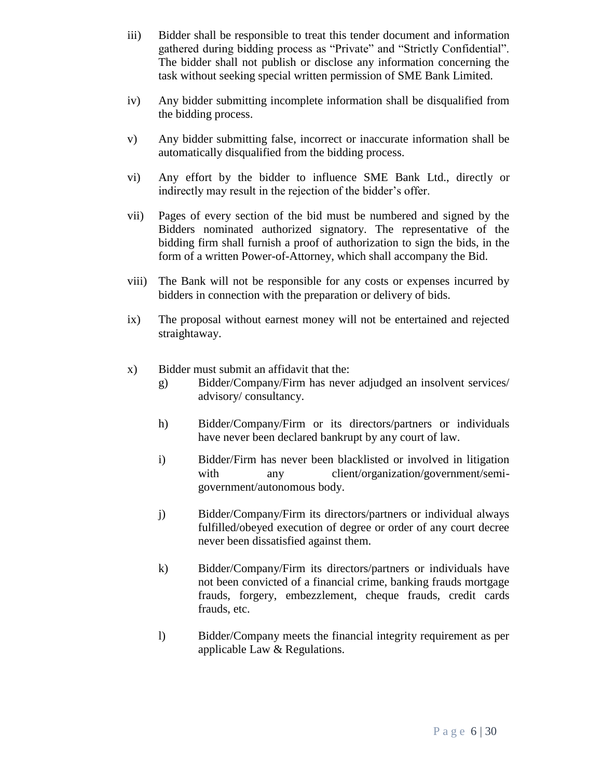- iii) Bidder shall be responsible to treat this tender document and information gathered during bidding process as "Private" and "Strictly Confidential". The bidder shall not publish or disclose any information concerning the task without seeking special written permission of SME Bank Limited.
- iv) Any bidder submitting incomplete information shall be disqualified from the bidding process.
- v) Any bidder submitting false, incorrect or inaccurate information shall be automatically disqualified from the bidding process.
- vi) Any effort by the bidder to influence SME Bank Ltd., directly or indirectly may result in the rejection of the bidder's offer.
- vii) Pages of every section of the bid must be numbered and signed by the Bidders nominated authorized signatory. The representative of the bidding firm shall furnish a proof of authorization to sign the bids, in the form of a written Power-of-Attorney, which shall accompany the Bid.
- viii) The Bank will not be responsible for any costs or expenses incurred by bidders in connection with the preparation or delivery of bids.
- ix) The proposal without earnest money will not be entertained and rejected straightaway.
- x) Bidder must submit an affidavit that the:
	- g) Bidder/Company/Firm has never adjudged an insolvent services/ advisory/ consultancy.
	- h) Bidder/Company/Firm or its directors/partners or individuals have never been declared bankrupt by any court of law.
	- i) Bidder/Firm has never been blacklisted or involved in litigation with any client/organization/government/semigovernment/autonomous body.
	- j) Bidder/Company/Firm its directors/partners or individual always fulfilled/obeyed execution of degree or order of any court decree never been dissatisfied against them.
	- k) Bidder/Company/Firm its directors/partners or individuals have not been convicted of a financial crime, banking frauds mortgage frauds, forgery, embezzlement, cheque frauds, credit cards frauds, etc.
	- l) Bidder/Company meets the financial integrity requirement as per applicable Law & Regulations.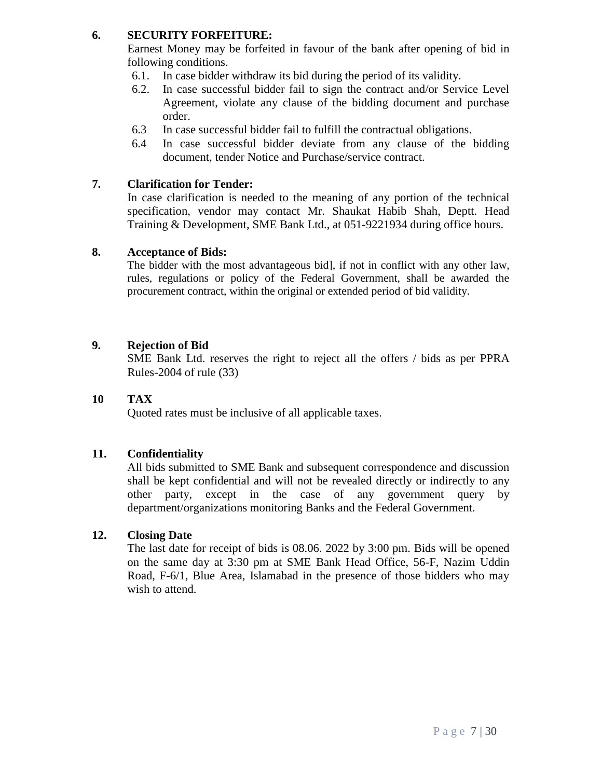### **6. SECURITY FORFEITURE:**

Earnest Money may be forfeited in favour of the bank after opening of bid in following conditions.

- 6.1. In case bidder withdraw its bid during the period of its validity.
- 6.2. In case successful bidder fail to sign the contract and/or Service Level Agreement, violate any clause of the bidding document and purchase order.
- 6.3 In case successful bidder fail to fulfill the contractual obligations.
- 6.4 In case successful bidder deviate from any clause of the bidding document, tender Notice and Purchase/service contract.

#### **7. Clarification for Tender:**

In case clarification is needed to the meaning of any portion of the technical specification, vendor may contact Mr. Shaukat Habib Shah, Deptt. Head Training & Development, SME Bank Ltd., at 051-9221934 during office hours.

#### **8. Acceptance of Bids:**

The bidder with the most advantageous bid], if not in conflict with any other law, rules, regulations or policy of the Federal Government, shall be awarded the procurement contract, within the original or extended period of bid validity.

### **9. Rejection of Bid**

SME Bank Ltd. reserves the right to reject all the offers / bids as per PPRA Rules-2004 of rule (33)

## **10 TAX**

Quoted rates must be inclusive of all applicable taxes.

## **11. Confidentiality**

All bids submitted to SME Bank and subsequent correspondence and discussion shall be kept confidential and will not be revealed directly or indirectly to any other party, except in the case of any government query by department/organizations monitoring Banks and the Federal Government.

#### **12. Closing Date**

The last date for receipt of bids is 08.06. 2022 by 3:00 pm. Bids will be opened on the same day at 3:30 pm at SME Bank Head Office, 56-F, Nazim Uddin Road, F-6/1, Blue Area, Islamabad in the presence of those bidders who may wish to attend.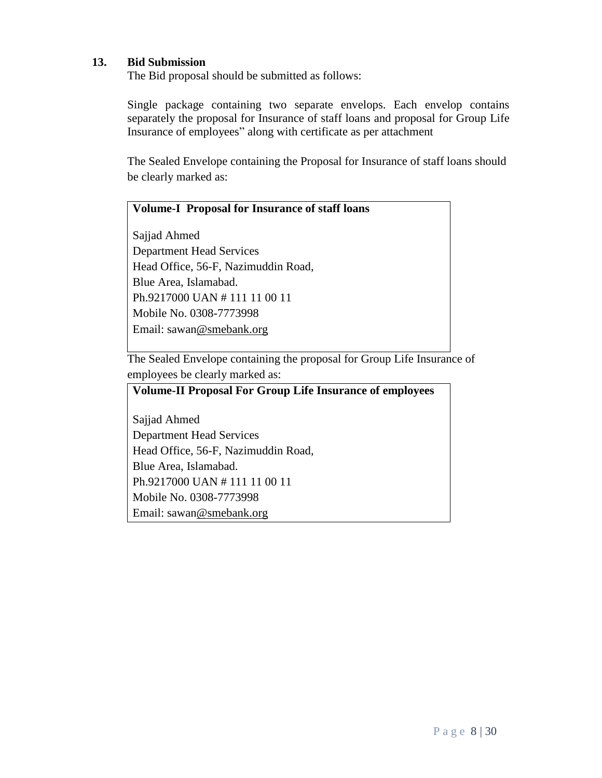#### **13. Bid Submission**

The Bid proposal should be submitted as follows:

Single package containing two separate envelops. Each envelop contains separately the proposal for Insurance of staff loans and proposal for Group Life Insurance of employees" along with certificate as per attachment

The Sealed Envelope containing the Proposal for Insurance of staff loans should be clearly marked as:

#### **Volume-I Proposal for Insurance of staff loans**

Sajjad Ahmed Department Head Services Head Office, 56-F, Nazimuddin Road, Blue Area, Islamabad. Ph.9217000 UAN # 111 11 00 11 Mobile No. 0308-7773998 Email: sawa[n@smebank.org](mailto:hashfaq@smebank.org)

The Sealed Envelope containing the proposal for Group Life Insurance of employees be clearly marked as:

#### **Volume-II Proposal For Group Life Insurance of employees**

Sajjad Ahmed Department Head Services Head Office, 56-F, Nazimuddin Road, Blue Area, Islamabad. Ph.9217000 UAN # 111 11 00 11 Mobile No. 0308-7773998 Email: sawa[n@smebank.org](mailto:hashfaq@smebank.org)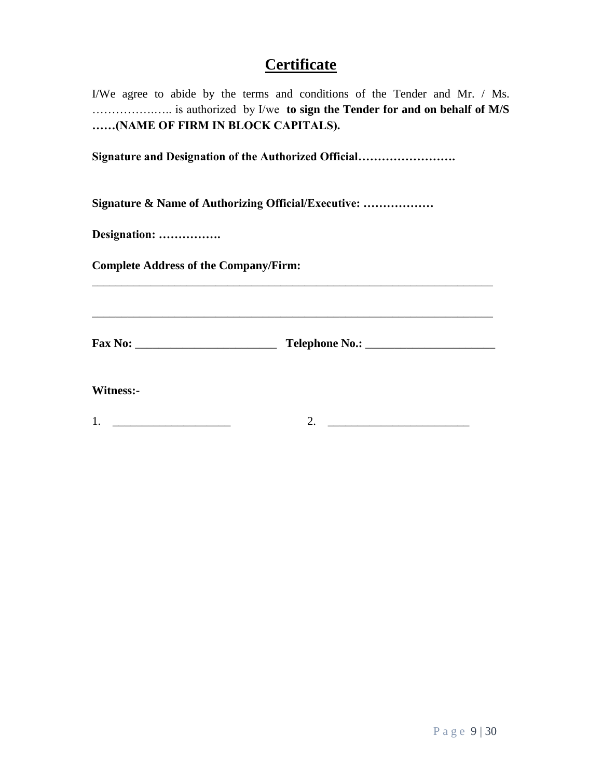# **Certificate**

I/We agree to abide by the terms and conditions of the Tender and Mr. / Ms. …………….….. is authorized by I/we **to sign the Tender for and on behalf of M/S ……(NAME OF FIRM IN BLOCK CAPITALS).**

**Signature and Designation of the Authorized Official…………………….**

**Signature & Name of Authorizing Official/Executive: ………………**

**Designation: …………….**

**Complete Address of the Company/Firm:**

**Fax No:** \_\_\_\_\_\_\_\_\_\_\_\_\_\_\_\_\_\_\_\_\_\_\_\_ **Telephone No.:** \_\_\_\_\_\_\_\_\_\_\_\_\_\_\_\_\_\_\_\_\_\_

\_\_\_\_\_\_\_\_\_\_\_\_\_\_\_\_\_\_\_\_\_\_\_\_\_\_\_\_\_\_\_\_\_\_\_\_\_\_\_\_\_\_\_\_\_\_\_\_\_\_\_\_\_\_\_\_\_\_\_\_\_\_\_\_\_\_\_\_

\_\_\_\_\_\_\_\_\_\_\_\_\_\_\_\_\_\_\_\_\_\_\_\_\_\_\_\_\_\_\_\_\_\_\_\_\_\_\_\_\_\_\_\_\_\_\_\_\_\_\_\_\_\_\_\_\_\_\_\_\_\_\_\_\_\_\_\_

**Witness:-**

1. \_\_\_\_\_\_\_\_\_\_\_\_\_\_\_\_\_\_\_\_ 2. \_\_\_\_\_\_\_\_\_\_\_\_\_\_\_\_\_\_\_\_\_\_\_\_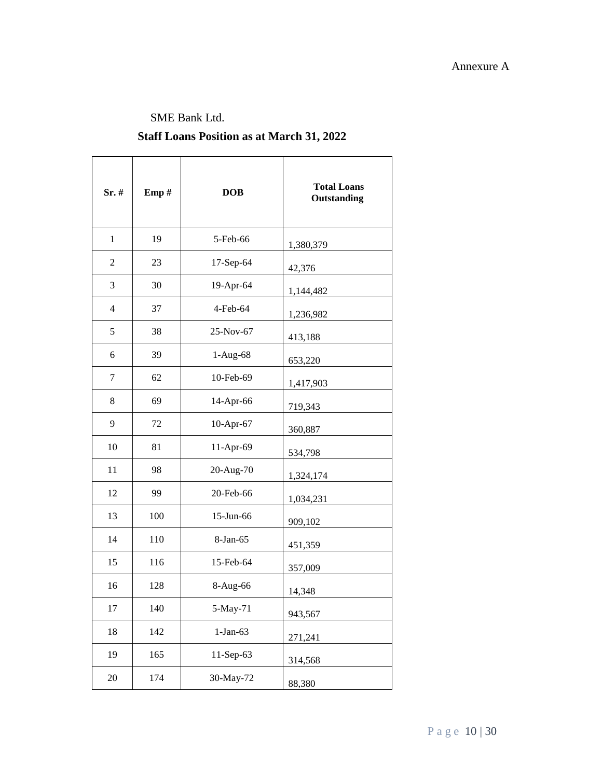#### Annexure A

### SME Bank Ltd.

## **Staff Loans Position as at March 31, 2022**

| Sr.#           | Emp# | <b>DOB</b> | <b>Total Loans</b><br>Outstanding |
|----------------|------|------------|-----------------------------------|
| $\mathbf{1}$   | 19   | 5-Feb-66   | 1,380,379                         |
| $\overline{2}$ | 23   | 17-Sep-64  | 42,376                            |
| 3              | 30   | 19-Apr-64  | 1,144,482                         |
| $\overline{4}$ | 37   | 4-Feb-64   | 1,236,982                         |
| 5              | 38   | 25-Nov-67  | 413,188                           |
| 6              | 39   | $1-Aug-68$ | 653,220                           |
| 7              | 62   | 10-Feb-69  | 1,417,903                         |
| 8              | 69   | 14-Apr-66  | 719,343                           |
| 9              | 72   | 10-Apr-67  | 360,887                           |
| 10             | 81   | 11-Apr-69  | 534,798                           |
| 11             | 98   | 20-Aug-70  | 1,324,174                         |
| 12             | 99   | 20-Feb-66  | 1,034,231                         |
| 13             | 100  | 15-Jun-66  | 909,102                           |
| 14             | 110  | 8-Jan-65   | 451,359                           |
| 15             | 116  | 15-Feb-64  | 357,009                           |
| 16             | 128  | 8-Aug-66   | 14,348                            |
| 17             | 140  | 5-May-71   | 943,567                           |
| 18             | 142  | $1-Jan-63$ | 271,241                           |
| 19             | 165  | 11-Sep-63  | 314,568                           |
| $20\,$         | 174  | 30-May-72  | 88,380                            |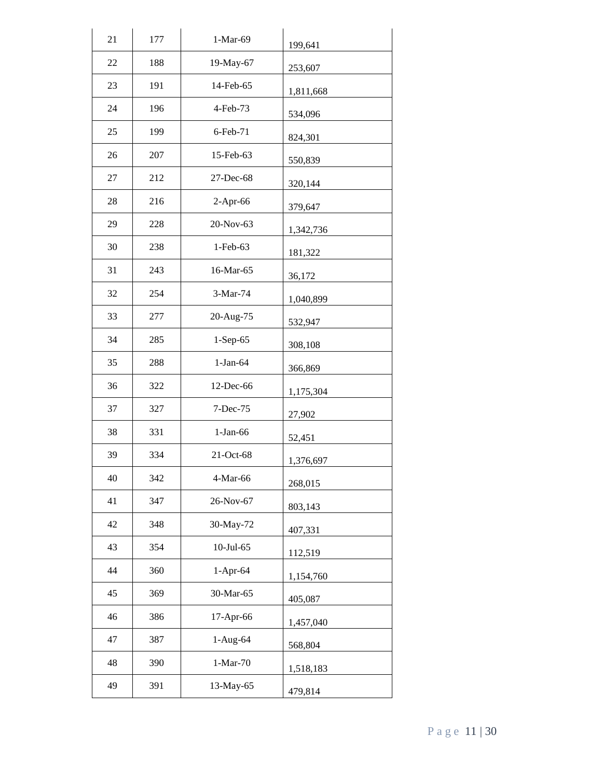| 21 | 177 | 1-Mar-69   | 199,641   |
|----|-----|------------|-----------|
| 22 | 188 | 19-May-67  | 253,607   |
| 23 | 191 | 14-Feb-65  | 1,811,668 |
| 24 | 196 | 4-Feb-73   | 534,096   |
| 25 | 199 | 6-Feb-71   | 824,301   |
| 26 | 207 | 15-Feb-63  | 550,839   |
| 27 | 212 | 27-Dec-68  | 320,144   |
| 28 | 216 | 2-Apr-66   | 379,647   |
| 29 | 228 | 20-Nov-63  | 1,342,736 |
| 30 | 238 | 1-Feb-63   | 181,322   |
| 31 | 243 | 16-Mar-65  | 36,172    |
| 32 | 254 | 3-Mar-74   | 1,040,899 |
| 33 | 277 | 20-Aug-75  | 532,947   |
| 34 | 285 | 1-Sep-65   | 308,108   |
| 35 | 288 | $1-Jan-64$ | 366,869   |
| 36 | 322 | 12-Dec-66  | 1,175,304 |
| 37 | 327 | 7-Dec-75   | 27,902    |
| 38 | 331 | $1-Jan-66$ | 52,451    |
| 39 | 334 | 21-Oct-68  | 1,376,697 |
| 40 | 342 | 4-Mar-66   | 268,015   |
| 41 | 347 | 26-Nov-67  | 803,143   |
| 42 | 348 | 30-May-72  | 407,331   |
| 43 | 354 | 10-Jul-65  | 112,519   |
| 44 | 360 | 1-Apr-64   | 1,154,760 |
| 45 | 369 | 30-Mar-65  | 405,087   |
| 46 | 386 | 17-Apr-66  | 1,457,040 |
| 47 | 387 | 1-Aug-64   | 568,804   |
| 48 | 390 | $1-Mar-70$ | 1,518,183 |
| 49 | 391 | 13-May-65  | 479,814   |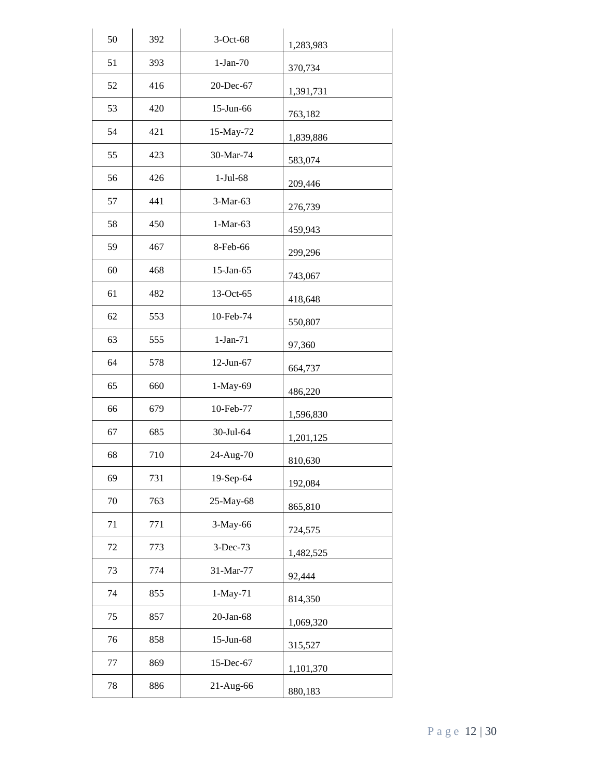| 50 | 392 | 3-Oct-68   | 1,283,983 |
|----|-----|------------|-----------|
| 51 | 393 | $1-Jan-70$ | 370,734   |
| 52 | 416 | 20-Dec-67  | 1,391,731 |
| 53 | 420 | 15-Jun-66  | 763,182   |
| 54 | 421 | 15-May-72  | 1,839,886 |
| 55 | 423 | 30-Mar-74  | 583,074   |
| 56 | 426 | $1-Jul-68$ | 209,446   |
| 57 | 441 | 3-Mar-63   | 276,739   |
| 58 | 450 | $1-Mar-63$ | 459,943   |
| 59 | 467 | 8-Feb-66   | 299,296   |
| 60 | 468 | 15-Jan-65  | 743,067   |
| 61 | 482 | 13-Oct-65  | 418,648   |
| 62 | 553 | 10-Feb-74  | 550,807   |
| 63 | 555 | $1-Jan-71$ | 97,360    |
| 64 | 578 | 12-Jun-67  | 664,737   |
| 65 | 660 | 1-May-69   | 486,220   |
| 66 | 679 | 10-Feb-77  | 1,596,830 |
| 67 | 685 | 30-Jul-64  | 1,201,125 |
| 68 | 710 | 24-Aug-70  | 810,630   |
| 69 | 731 | 19-Sep-64  | 192,084   |
| 70 | 763 | 25-May-68  | 865,810   |
| 71 | 771 | 3-May-66   | 724,575   |
| 72 | 773 | 3-Dec-73   | 1,482,525 |
| 73 | 774 | 31-Mar-77  | 92,444    |
| 74 | 855 | 1-May-71   | 814,350   |
| 75 | 857 | 20-Jan-68  | 1,069,320 |
| 76 | 858 | 15-Jun-68  | 315,527   |
| 77 | 869 | 15-Dec-67  | 1,101,370 |
| 78 | 886 | 21-Aug-66  | 880,183   |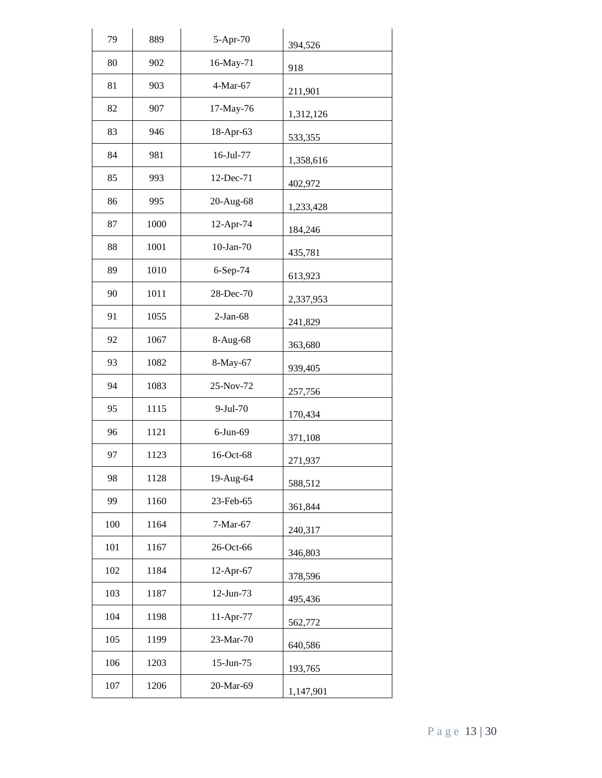| 79  | 889  | 5-Apr-70        | 394,526   |
|-----|------|-----------------|-----------|
| 80  | 902  | 16-May-71       | 918       |
| 81  | 903  | 4-Mar-67        | 211,901   |
| 82  | 907  | 17-May-76       | 1,312,126 |
| 83  | 946  | 18-Apr-63       | 533,355   |
| 84  | 981  | 16-Jul-77       | 1,358,616 |
| 85  | 993  | 12-Dec-71       | 402,972   |
| 86  | 995  | 20-Aug-68       | 1,233,428 |
| 87  | 1000 | 12-Apr-74       | 184,246   |
| 88  | 1001 | $10$ -Jan- $70$ | 435,781   |
| 89  | 1010 | 6-Sep-74        | 613,923   |
| 90  | 1011 | 28-Dec-70       | 2,337,953 |
| 91  | 1055 | $2-Jan-68$      | 241,829   |
| 92  | 1067 | 8-Aug-68        | 363,680   |
| 93  | 1082 | 8-May-67        | 939,405   |
| 94  | 1083 | 25-Nov-72       | 257,756   |
| 95  | 1115 | 9-Jul-70        | 170,434   |
| 96  | 1121 | $6$ -Jun- $69$  | 371,108   |
| 97  | 1123 | 16-Oct-68       | 271,937   |
| 98  | 1128 | 19-Aug-64       | 588,512   |
| 99  | 1160 | 23-Feb-65       | 361,844   |
| 100 | 1164 | 7-Mar-67        | 240,317   |
| 101 | 1167 | 26-Oct-66       | 346,803   |
| 102 | 1184 | 12-Apr-67       | 378,596   |
| 103 | 1187 | 12-Jun-73       | 495,436   |
| 104 | 1198 | 11-Apr-77       | 562,772   |
| 105 | 1199 | 23-Mar-70       | 640,586   |
| 106 | 1203 | 15-Jun-75       | 193,765   |
| 107 | 1206 | 20-Mar-69       | 1,147,901 |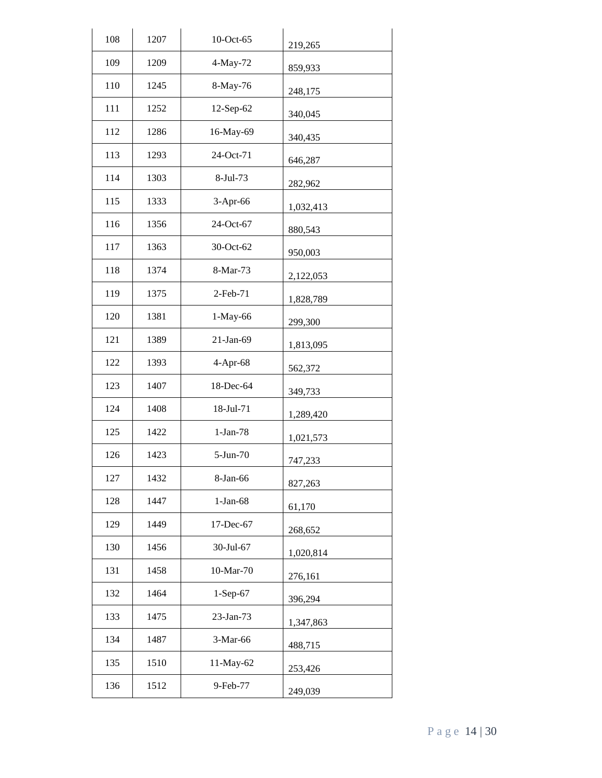| 108 | 1207 | 10-Oct-65  | 219,265   |
|-----|------|------------|-----------|
| 109 | 1209 | 4-May-72   | 859,933   |
| 110 | 1245 | 8-May-76   | 248,175   |
| 111 | 1252 | 12-Sep-62  | 340,045   |
| 112 | 1286 | 16-May-69  | 340,435   |
| 113 | 1293 | 24-Oct-71  | 646,287   |
| 114 | 1303 | 8-Jul-73   | 282,962   |
| 115 | 1333 | 3-Apr-66   | 1,032,413 |
| 116 | 1356 | 24-Oct-67  | 880,543   |
| 117 | 1363 | 30-Oct-62  | 950,003   |
| 118 | 1374 | 8-Mar-73   | 2,122,053 |
| 119 | 1375 | 2-Feb-71   | 1,828,789 |
| 120 | 1381 | 1-May-66   | 299,300   |
| 121 | 1389 | 21-Jan-69  | 1,813,095 |
| 122 | 1393 | 4-Apr-68   | 562,372   |
| 123 | 1407 | 18-Dec-64  | 349,733   |
| 124 | 1408 | 18-Jul-71  | 1,289,420 |
| 125 | 1422 | $1-Jan-78$ | 1,021,573 |
| 126 | 1423 | 5-Jun-70   | 747,233   |
| 127 | 1432 | 8-Jan-66   | 827,263   |
| 128 | 1447 | $1-Jan-68$ | 61,170    |
| 129 | 1449 | 17-Dec-67  | 268,652   |
| 130 | 1456 | 30-Jul-67  | 1,020,814 |
| 131 | 1458 | 10-Mar-70  | 276,161   |
| 132 | 1464 | 1-Sep-67   | 396,294   |
| 133 | 1475 | 23-Jan-73  | 1,347,863 |
| 134 | 1487 | 3-Mar-66   | 488,715   |
| 135 | 1510 | 11-May-62  | 253,426   |
| 136 | 1512 | 9-Feb-77   | 249,039   |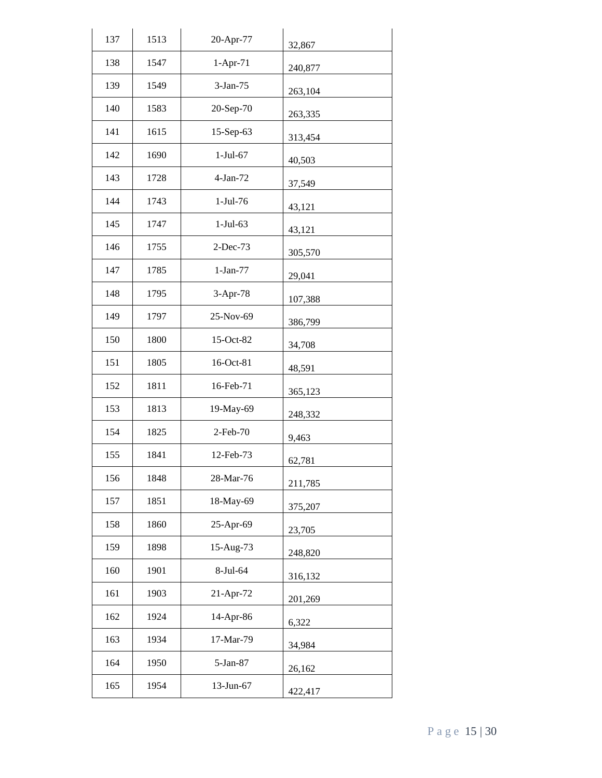| 137 | 1513 | 20-Apr-77  | 32,867  |
|-----|------|------------|---------|
| 138 | 1547 | 1-Apr-71   | 240,877 |
| 139 | 1549 | 3-Jan-75   | 263,104 |
| 140 | 1583 | 20-Sep-70  | 263,335 |
| 141 | 1615 | 15-Sep-63  | 313,454 |
| 142 | 1690 | $1-Jul-67$ | 40,503  |
| 143 | 1728 | $4-Jan-72$ | 37,549  |
| 144 | 1743 | 1-Jul-76   | 43,121  |
| 145 | 1747 | $1-Jul-63$ | 43,121  |
| 146 | 1755 | 2-Dec-73   | 305,570 |
| 147 | 1785 | $1-Jan-77$ | 29,041  |
| 148 | 1795 | 3-Apr-78   | 107,388 |
| 149 | 1797 | 25-Nov-69  | 386,799 |
| 150 | 1800 | 15-Oct-82  | 34,708  |
| 151 | 1805 | 16-Oct-81  | 48,591  |
| 152 | 1811 | 16-Feb-71  | 365,123 |
| 153 | 1813 | 19-May-69  | 248,332 |
| 154 | 1825 | 2-Feb-70   | 9,463   |
| 155 | 1841 | 12-Feb-73  | 62,781  |
| 156 | 1848 | 28-Mar-76  | 211,785 |
| 157 | 1851 | 18-May-69  | 375,207 |
| 158 | 1860 | 25-Apr-69  | 23,705  |
| 159 | 1898 | 15-Aug-73  | 248,820 |
| 160 | 1901 | 8-Jul-64   | 316,132 |
| 161 | 1903 | 21-Apr-72  | 201,269 |
| 162 | 1924 | 14-Apr-86  | 6,322   |
| 163 | 1934 | 17-Mar-79  | 34,984  |
| 164 | 1950 | 5-Jan-87   | 26,162  |
| 165 | 1954 | 13-Jun-67  | 422,417 |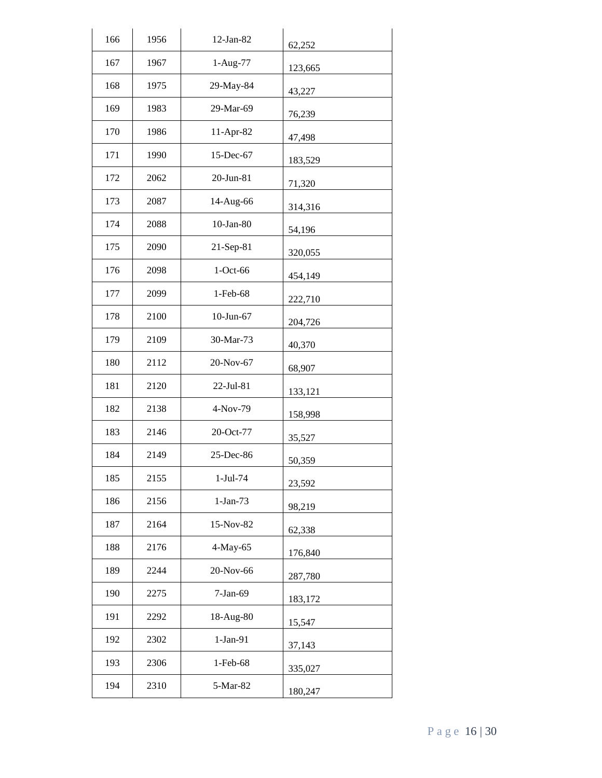| 166 | 1956 | 12-Jan-82    | 62,252  |
|-----|------|--------------|---------|
| 167 | 1967 | 1-Aug-77     | 123,665 |
| 168 | 1975 | 29-May-84    | 43,227  |
| 169 | 1983 | 29-Mar-69    | 76,239  |
| 170 | 1986 | 11-Apr-82    | 47,498  |
| 171 | 1990 | 15-Dec-67    | 183,529 |
| 172 | 2062 | 20-Jun-81    | 71,320  |
| 173 | 2087 | 14-Aug-66    | 314,316 |
| 174 | 2088 | $10$ -Jan-80 | 54,196  |
| 175 | 2090 | 21-Sep-81    | 320,055 |
| 176 | 2098 | 1-Oct-66     | 454,149 |
| 177 | 2099 | 1-Feb-68     | 222,710 |
| 178 | 2100 | 10-Jun-67    | 204,726 |
| 179 | 2109 | 30-Mar-73    | 40,370  |
| 180 | 2112 | 20-Nov-67    | 68,907  |
| 181 | 2120 | 22-Jul-81    | 133,121 |
| 182 | 2138 | 4-Nov-79     | 158,998 |
| 183 | 2146 | 20-Oct-77    | 35,527  |
| 184 | 2149 | 25-Dec-86    | 50,359  |
| 185 | 2155 | $1-Jul-74$   | 23,592  |
| 186 | 2156 | $1-Jan-73$   | 98,219  |
| 187 | 2164 | 15-Nov-82    | 62,338  |
| 188 | 2176 | 4-May-65     | 176,840 |
| 189 | 2244 | 20-Nov-66    | 287,780 |
| 190 | 2275 | 7-Jan-69     | 183,172 |
| 191 | 2292 | 18-Aug-80    | 15,547  |
| 192 | 2302 | 1-Jan-91     | 37,143  |
| 193 | 2306 | 1-Feb-68     | 335,027 |
| 194 | 2310 | 5-Mar-82     | 180,247 |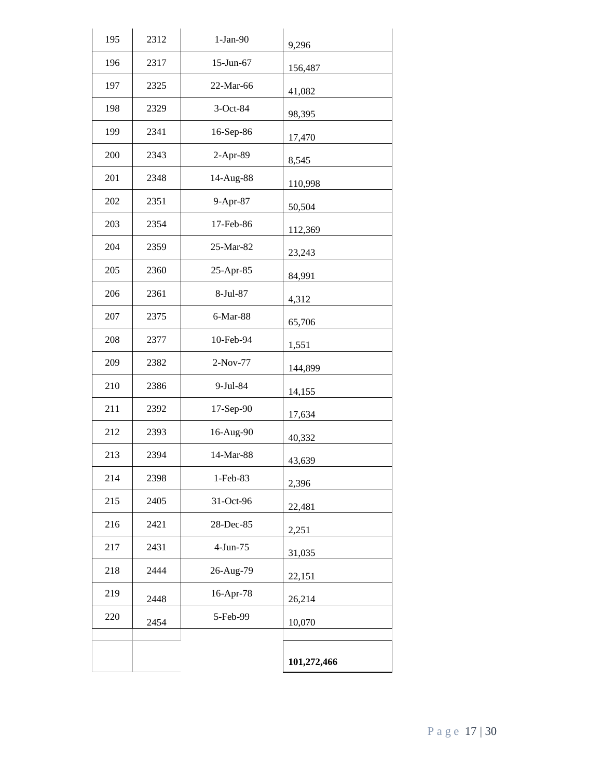| 195 | 2312 | $1-Jan-90$ | 9,296       |
|-----|------|------------|-------------|
| 196 | 2317 | 15-Jun-67  | 156,487     |
| 197 | 2325 | 22-Mar-66  | 41,082      |
| 198 | 2329 | 3-Oct-84   | 98,395      |
| 199 | 2341 | 16-Sep-86  | 17,470      |
| 200 | 2343 | 2-Apr-89   | 8,545       |
| 201 | 2348 | 14-Aug-88  | 110,998     |
| 202 | 2351 | 9-Apr-87   | 50,504      |
| 203 | 2354 | 17-Feb-86  | 112,369     |
| 204 | 2359 | 25-Mar-82  | 23,243      |
| 205 | 2360 | 25-Apr-85  | 84,991      |
| 206 | 2361 | 8-Jul-87   | 4,312       |
| 207 | 2375 | 6-Mar-88   | 65,706      |
| 208 | 2377 | 10-Feb-94  | 1,551       |
| 209 | 2382 | 2-Nov-77   | 144,899     |
| 210 | 2386 | 9-Jul-84   | 14,155      |
| 211 | 2392 | 17-Sep-90  | 17,634      |
| 212 | 2393 | 16-Aug-90  | 40,332      |
| 213 | 2394 | 14-Mar-88  | 43,639      |
| 214 | 2398 | 1-Feb-83   | 2,396       |
| 215 | 2405 | 31-Oct-96  | 22,481      |
| 216 | 2421 | 28-Dec-85  | 2,251       |
| 217 | 2431 | 4-Jun-75   | 31,035      |
| 218 | 2444 | 26-Aug-79  | 22,151      |
| 219 | 2448 | 16-Apr-78  | 26,214      |
| 220 | 2454 | 5-Feb-99   | 10,070      |
|     |      |            |             |
|     |      |            | 101,272,466 |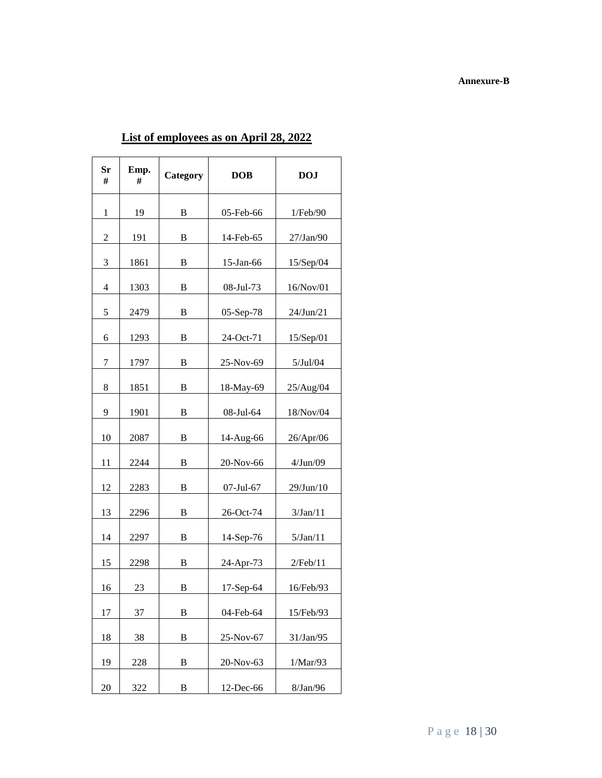#### **Annexure-B**

| Sr<br># | Emp.<br># | Category | <b>DOB</b>       | <b>DOJ</b> |
|---------|-----------|----------|------------------|------------|
| 1       | 19        | B        | 05-Feb-66        | 1/Feb/90   |
| 2       | 191       | B        | 14-Feb-65        | 27/Jan/90  |
| 3       | 1861      | B        | $15$ -Jan-66     | 15/Sep/04  |
| 4       | 1303      | B        | 08-Jul-73        | 16/Nov/01  |
| 5       | 2479      | B        | 05-Sep-78        | 24/Jun/21  |
| 6       | 1293      | В        | 24-Oct-71        | 15/Sep/01  |
| 7       | 1797      | B        | 25-Nov-69        | 5/Jul/04   |
| 8       | 1851      | B        | 18-May-69        | 25/Aug/04  |
| 9       | 1901      | B        | 08-Jul-64        | 18/Nov/04  |
| 10      | 2087      | B        | 14-Aug-66        | 26/Apr/06  |
| 11      | 2244      | B        | 20-Nov-66        | 4/Jun/09   |
| 12      | 2283      | B        | $07 -$ Jul $-67$ | 29/Jun/10  |
| 13      | 2296      | B        | 26-Oct-74        | 3/Jan/11   |
| 14      | 2297      | B        | 14-Sep-76        | 5/Jan/11   |
| 15      | 2298      | B        | 24-Apr-73        | 2/Feb/11   |
| 16      | 23        | B        | $17-Sep-64$      | 16/Feb/93  |
| 17      | 37        | B        | 04-Feb-64        | 15/Feb/93  |
| 18      | 38        | B        | 25-Nov-67        | 31/Jan/95  |
| 19      | 228       | B        | 20-Nov-63        | 1/Mar/93   |
| 20      | 322       | B        | 12-Dec-66        | 8/Jan/96   |

# **List of employees as on April 28, 2022**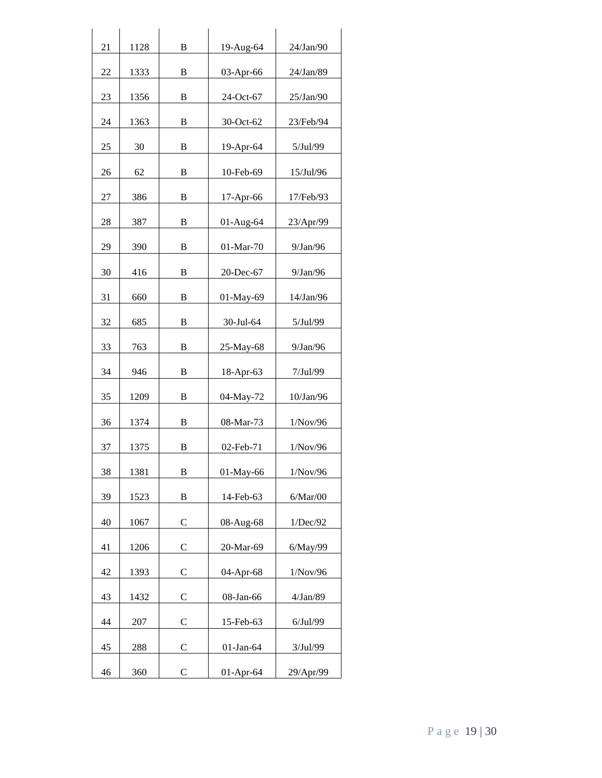| 21 | 1128 | B            | 19-Aug-64    | $24$ /Jan/90 |
|----|------|--------------|--------------|--------------|
| 22 | 1333 | B            | 03-Apr-66    | 24/Jan/89    |
| 23 | 1356 | B            | 24-Oct-67    | 25/Jan/90    |
| 24 | 1363 | B            | 30-Oct-62    | 23/Feb/94    |
| 25 | 30   | B            | 19-Apr-64    | $5$ /Jul/99  |
| 26 | 62   | B            | 10-Feb-69    | 15/Jul/96    |
| 27 | 386  | B            | 17-Apr-66    | 17/Feb/93    |
| 28 | 387  | B            | 01-Aug-64    | 23/Apr/99    |
| 29 | 390  | B            | $01-Mar-70$  | $9$ /Jan/96  |
| 30 | 416  | B            | 20-Dec-67    | $9$ /Jan/96  |
| 31 | 660  | B            | 01-May-69    | 14/Jan/96    |
| 32 | 685  | B            | 30-Jul-64    | 5/Jul/99     |
| 33 | 763  | B            | 25-May-68    | $9$ /Jan/96  |
| 34 | 946  | B            | 18-Apr-63    | 7/Jul/99     |
| 35 | 1209 | B            | 04-May-72    | 10/Jan/96    |
| 36 | 1374 | B            | 08-Mar-73    | 1/Nov/96     |
| 37 | 1375 | B            | $02$ -Feb-71 | 1/Nov/96     |
| 38 | 1381 | B            | 01-May-66    | 1/Nov/96     |
| 39 | 1523 | B            | 14-Feb-63    | 6/Mar/00     |
| 40 | 1067 | $\mathsf{C}$ | 08-Aug-68    | 1/Dec/92     |
| 41 | 1206 | C            | 20-Mar-69    | 6/May/99     |
| 42 | 1393 | C            | 04-Apr-68    | 1/Nov/96     |
| 43 | 1432 | C            | 08-Jan-66    | 4/Jan/89     |
| 44 | 207  | $\mathsf{C}$ | 15-Feb-63    | 6/Jul/99     |
| 45 | 288  | C            | $01-Jan-64$  | 3/Jul/99     |
| 46 | 360  | $\mathsf{C}$ | 01-Apr-64    | 29/Apr/99    |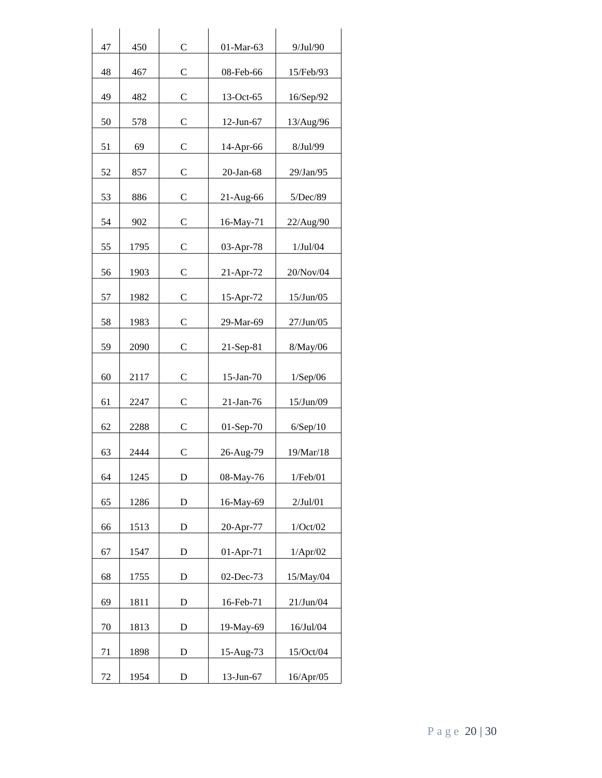| 47 | 450  | $\mathsf{C}$  | 01-Mar-63    | 9/Jul/90  |
|----|------|---------------|--------------|-----------|
| 48 | 467  | C             | 08-Feb-66    | 15/Feb/93 |
| 49 | 482  | C             | 13-Oct-65    | 16/Sep/92 |
| 50 | 578  | $\mathcal{C}$ | 12-Jun-67    | 13/Aug/96 |
| 51 | 69   | C             | 14-Apr-66    | 8/Jul/99  |
| 52 | 857  | C             | $20$ -Jan-68 | 29/Jan/95 |
| 53 | 886  | C             | 21-Aug-66    | 5/Dec/89  |
| 54 | 902  | C             | 16-May-71    | 22/Aug/90 |
| 55 | 1795 | C             | 03-Apr-78    | 1/Jul/04  |
| 56 | 1903 | C             | 21-Apr-72    | 20/Nov/04 |
| 57 | 1982 | C             | 15-Apr-72    | 15/Jun/05 |
| 58 | 1983 | $\mathsf{C}$  | 29-Mar-69    | 27/Jun/05 |
| 59 | 2090 | C             | 21-Sep-81    | 8/May/06  |
| 60 | 2117 | C             | $15$ -Jan-70 | 1/Sep/06  |
| 61 | 2247 | C             | $21-Jan-76$  | 15/Jun/09 |
| 62 | 2288 | C             | 01-Sep-70    | 6/Sep/10  |
| 63 | 2444 | $\mathcal{C}$ | 26-Aug-79    | 19/Mar/18 |
| 64 | 1245 | D             | 08-May-76    | 1/Feb/01  |
| 65 | 1286 | D             | 16-May-69    | 2/Jul/01  |
| 66 | 1513 | D             | 20-Apr-77    | 1/Oct/02  |
| 67 | 1547 | D             | $01-Apr-71$  | 1/Apr/02  |
| 68 | 1755 | D             | 02-Dec-73    | 15/May/04 |
| 69 | 1811 | D             | 16-Feb-71    | 21/Jun/04 |
| 70 | 1813 | D             | 19-May-69    | 16/Jul/04 |
| 71 | 1898 | D             | 15-Aug-73    | 15/Oct/04 |
| 72 | 1954 | $\mathbf D$   | 13-Jun-67    | 16/Apr/05 |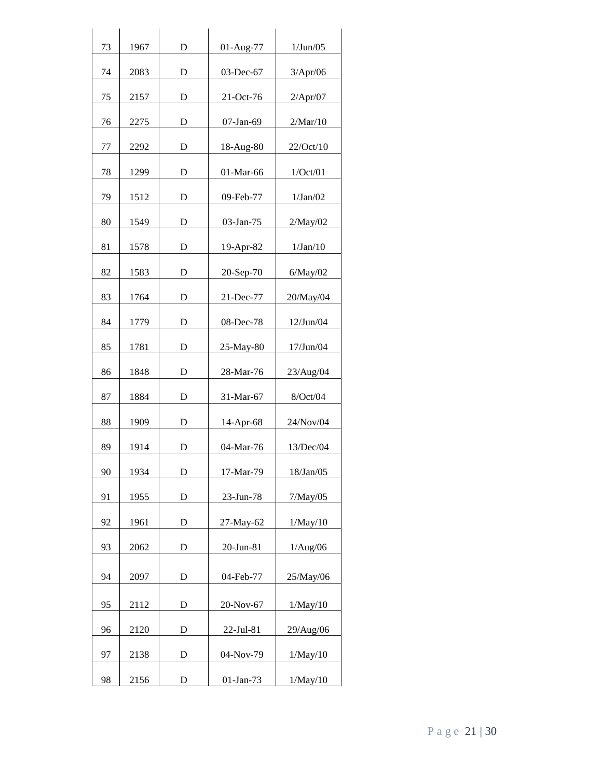| 73 | 1967 | D           | 01-Aug-77    | 1/Jun/05  |
|----|------|-------------|--------------|-----------|
| 74 | 2083 | D           | 03-Dec-67    | 3/Apr/06  |
| 75 | 2157 | D           | 21-Oct-76    | 2/Apr/07  |
| 76 | 2275 | D           | 07-Jan-69    | 2/Mar/10  |
| 77 | 2292 | D           | 18-Aug-80    | 22/Oct/10 |
| 78 | 1299 | D           | 01-Mar-66    | 1/Oct/01  |
| 79 | 1512 | D           | 09-Feb-77    | 1/Jan/02  |
| 80 | 1549 | D           | 03-Jan-75    | 2/May/02  |
| 81 | 1578 | D           | 19-Apr-82    | 1/Jan/10  |
| 82 | 1583 | D           | 20-Sep-70    | 6/May/02  |
| 83 | 1764 | D           | 21-Dec-77    | 20/May/04 |
| 84 | 1779 | D           | 08-Dec-78    | 12/Jun/04 |
| 85 | 1781 | D           | 25-May-80    | 17/Jun/04 |
| 86 | 1848 | D           | 28-Mar-76    | 23/Aug/04 |
| 87 | 1884 | D           | 31-Mar-67    | 8/Oct/04  |
| 88 | 1909 | D           | $14$ -Apr-68 | 24/Nov/04 |
| 89 | 1914 | D           | 04-Mar-76    | 13/Dec/04 |
| 90 | 1934 | D           | 17-Mar-79    | 18/Jan/05 |
| 91 | 1955 | D           | 23-Jun-78    | 7/May/05  |
| 92 | 1961 | D           | 27-May-62    | 1/May/10  |
| 93 | 2062 | $\mathbf D$ | 20-Jun-81    | 1/Aug/06  |
| 94 | 2097 | D           | 04-Feb-77    | 25/May/06 |
| 95 | 2112 | D           | 20-Nov-67    | 1/May/10  |
| 96 | 2120 | D           | 22-Jul-81    | 29/Aug/06 |
| 97 | 2138 | D           | 04-Nov-79    | 1/May/10  |
| 98 | 2156 | D           | 01-Jan-73    | 1/May/10  |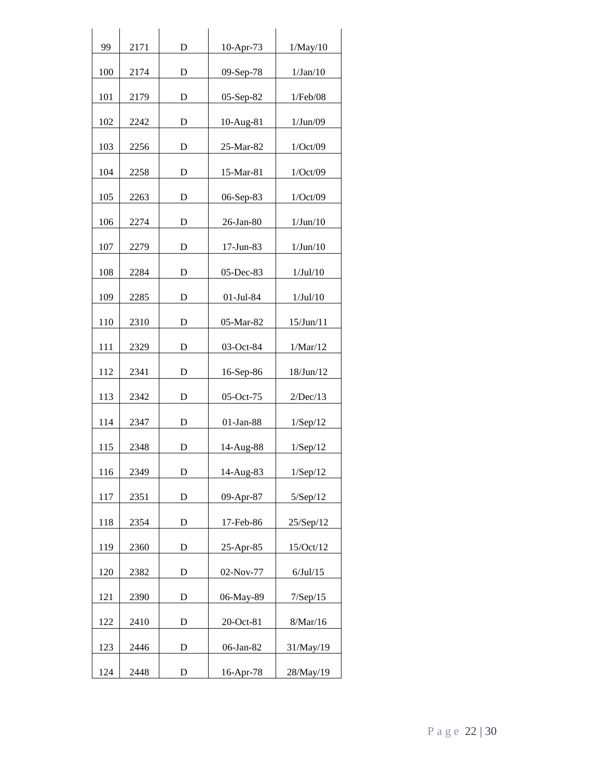| 99  | 2171 | D | 10-Apr-73   | 1/May/10  |
|-----|------|---|-------------|-----------|
| 100 | 2174 | D | 09-Sep-78   | 1/Jan/10  |
| 101 | 2179 | D | 05-Sep-82   | 1/Feb/08  |
| 102 | 2242 | D | 10-Aug-81   | 1/Jun/09  |
| 103 | 2256 | D | 25-Mar-82   | 1/Oct/09  |
| 104 | 2258 | D | 15-Mar-81   | 1/Oct/09  |
| 105 | 2263 | D | 06-Sep-83   | 1/Oct/09  |
| 106 | 2274 | D | 26-Jan-80   | 1/Jun/10  |
| 107 | 2279 | D | 17-Jun-83   | 1/Jun/10  |
| 108 | 2284 | D | 05-Dec-83   | 1/Jul/10  |
| 109 | 2285 | D | 01-Jul-84   | 1/Jul/10  |
| 110 | 2310 | D | 05-Mar-82   | 15/Jun/11 |
| 111 | 2329 | D | 03-Oct-84   | 1/Mar/12  |
| 112 | 2341 | D | 16-Sep-86   | 18/Jun/12 |
| 113 | 2342 | D | 05-Oct-75   | 2/Dec/13  |
| 114 | 2347 | D | 01-Jan-88   | 1/Sep/12  |
| 115 | 2348 | D | 14-Aug-88   | 1/Sep/12  |
| 116 | 2349 | D | 14-Aug-83   | 1/Sep/12  |
| 117 | 2351 | D | 09-Apr-87   | 5/Sep/12  |
| 118 | 2354 | D | 17-Feb-86   | 25/Sep/12 |
| 119 | 2360 | D | 25-Apr-85   | 15/Oct/12 |
| 120 | 2382 | D | $02-Nov-77$ | 6/Jul/15  |
| 121 | 2390 | D | 06-May-89   | 7/Sep/15  |
| 122 | 2410 | D | 20-Oct-81   | 8/Mar/16  |
| 123 | 2446 | D | 06-Jan-82   | 31/May/19 |
| 124 | 2448 | D | 16-Apr-78   | 28/May/19 |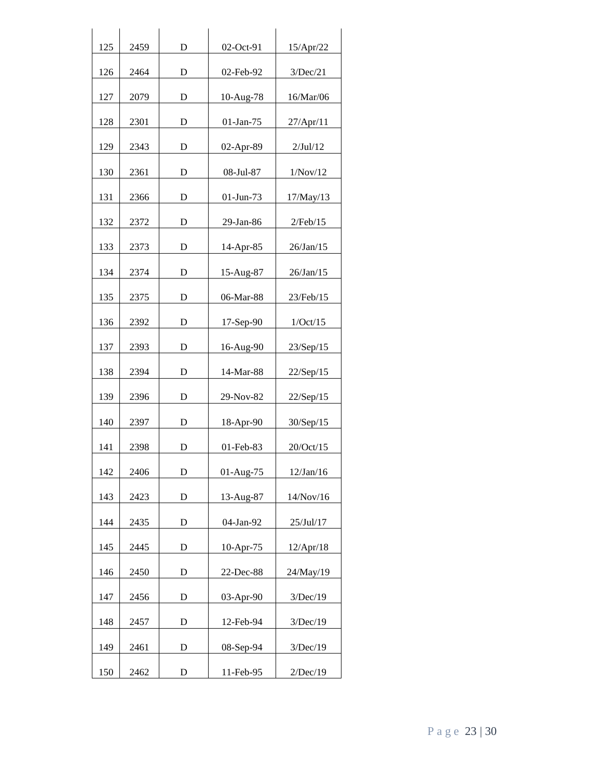| 125 | 2459 | D | 02-Oct-91    | 15/Apr/22    |
|-----|------|---|--------------|--------------|
| 126 | 2464 | D | 02-Feb-92    | 3/Dec/21     |
| 127 | 2079 | D | 10-Aug-78    | 16/Mar/06    |
| 128 | 2301 | D | $01$ -Jan-75 | 27/Apr/11    |
| 129 | 2343 | D | 02-Apr-89    | $2$ /Jul/12  |
| 130 | 2361 | D | 08-Jul-87    | 1/Nov/12     |
| 131 | 2366 | D | 01-Jun-73    | 17/May/13    |
| 132 | 2372 | D | 29-Jan-86    | 2/Feb/15     |
| 133 | 2373 | D | 14-Apr-85    | $26$ /Jan/15 |
| 134 | 2374 | D | 15-Aug-87    | 26/Jan/15    |
| 135 | 2375 | D | 06-Mar-88    | 23/Feb/15    |
| 136 | 2392 | D | $17-Sep-90$  | 1/Oct/15     |
| 137 | 2393 | D | 16-Aug-90    | 23/Sep/15    |
| 138 | 2394 | D | 14-Mar-88    | 22/Sep/15    |
| 139 | 2396 | D | 29-Nov-82    | 22/Sep/15    |
| 140 | 2397 | D | 18-Apr-90    | 30/Sep/15    |
| 141 | 2398 | D | 01-Feb-83    | 20/Oct/15    |
| 142 | 2406 | D | 01-Aug-75    | 12/Jan/16    |
| 143 | 2423 | D | 13-Aug-87    | 14/Nov/16    |
| 144 | 2435 | D | 04-Jan-92    | 25/Jul/17    |
| 145 | 2445 | D | 10-Apr-75    | 12/Apr/18    |
| 146 | 2450 | D | 22-Dec-88    | 24/May/19    |
| 147 | 2456 | D | $03-Apr-90$  | 3/Dec/19     |
| 148 | 2457 | D | 12-Feb-94    | 3/Dec/19     |
| 149 | 2461 | D | 08-Sep-94    | 3/Dec/19     |
| 150 | 2462 | D | 11-Feb-95    | 2/Dec/19     |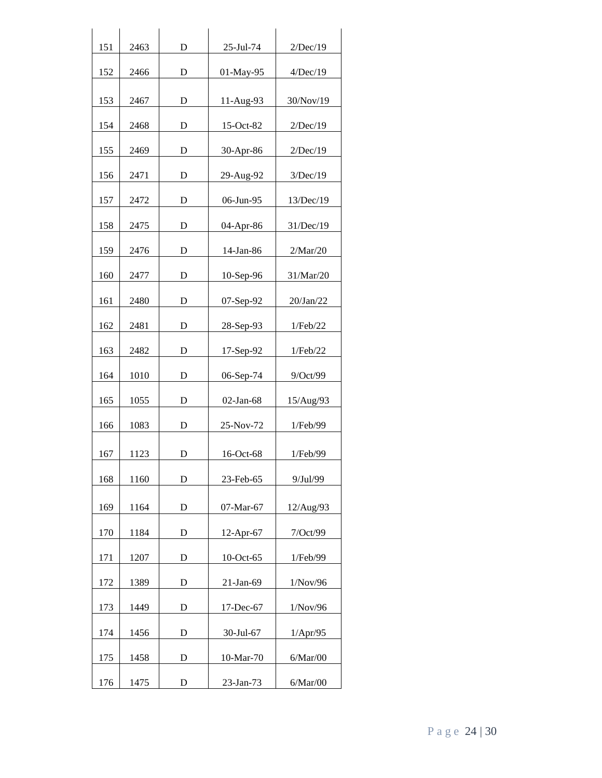| 151 | 2463 | D         | 25-Jul-74    | 2/Dec/19  |
|-----|------|-----------|--------------|-----------|
|     |      |           |              |           |
| 152 | 2466 | D         | 01-May-95    | 4/Dec/19  |
| 153 | 2467 | D         | 11-Aug-93    | 30/Nov/19 |
| 154 | 2468 | D         | 15-Oct-82    | 2/Dec/19  |
| 155 | 2469 | D         | 30-Apr-86    | 2/Dec/19  |
| 156 | 2471 | D         | 29-Aug-92    | 3/Dec/19  |
| 157 | 2472 | D         | 06-Jun-95    | 13/Dec/19 |
| 158 | 2475 | D         | 04-Apr-86    | 31/Dec/19 |
| 159 | 2476 | D         | 14-Jan-86    | 2/Mar/20  |
| 160 | 2477 | D         | 10-Sep-96    | 31/Mar/20 |
| 161 | 2480 | D         | 07-Sep-92    | 20/Jan/22 |
| 162 | 2481 | D         | 28-Sep-93    | 1/Feb/22  |
| 163 | 2482 | D         | 17-Sep-92    | 1/Feb/22  |
| 164 | 1010 | D         | 06-Sep-74    | 9/Oct/99  |
| 165 | 1055 | D         | $02$ -Jan-68 | 15/Aug/93 |
| 166 | 1083 | D         | 25-Nov-72    | 1/Feb/99  |
| 167 | 1123 | D         | 16-Oct-68    | 1/Feb/99  |
| 168 | 1160 | D         | 23-Feb-65    | 9/Jul/99  |
| 169 | 1164 | D         | 07-Mar-67    | 12/Aug/93 |
| 170 | 1184 | D         | 12-Apr-67    | 7/Oct/99  |
| 171 | 1207 | D         | 10-Oct-65    | 1/Feb/99  |
| 172 | 1389 | D         | $21-Ian-69$  | 1/Nov/96  |
| 173 | 1449 | D         | 17-Dec-67    | 1/Nov/96  |
| 174 | 1456 | D         | 30-Jul-67    | 1/Apr/95  |
| 175 | 1458 | D         | 10-Mar-70    | 6/Mar/00  |
| 176 | 1475 | ${\rm D}$ | 23-Jan-73    | 6/Mar/00  |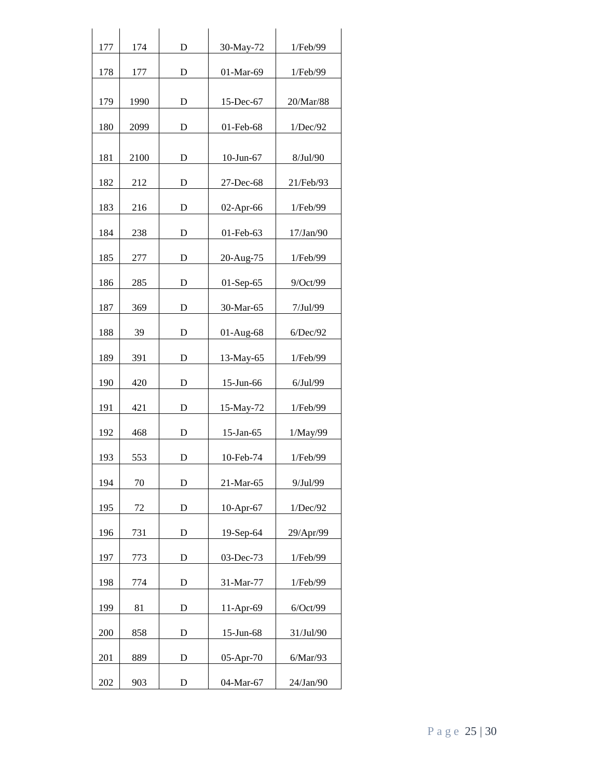| 177 | 174  | D           | 30-May-72    | 1/Feb/99  |
|-----|------|-------------|--------------|-----------|
| 178 | 177  | D           | 01-Mar-69    | 1/Feb/99  |
| 179 | 1990 | D           | 15-Dec-67    | 20/Mar/88 |
| 180 | 2099 | D           | 01-Feb-68    | 1/Dec/92  |
| 181 | 2100 | D           | 10-Jun-67    | 8/Jul/90  |
| 182 | 212  | $\mathbf D$ | 27-Dec-68    | 21/Feb/93 |
| 183 | 216  | D           | 02-Apr-66    | 1/Feb/99  |
| 184 | 238  | D           | 01-Feb-63    | 17/Jan/90 |
| 185 | 277  | D           | 20-Aug-75    | 1/Feb/99  |
| 186 | 285  | D           | 01-Sep-65    | 9/Oct/99  |
| 187 | 369  | D           | 30-Mar-65    | 7/Jul/99  |
| 188 | 39   | D           | 01-Aug-68    | 6/Dec/92  |
| 189 | 391  | D           | 13-May-65    | 1/Feb/99  |
| 190 | 420  | D           | 15-Jun-66    | 6/Jul/99  |
| 191 | 421  | D           | 15-May-72    | 1/Feb/99  |
| 192 | 468  | D           | 15-Jan-65    | 1/May/99  |
| 193 | 553  | D           | 10-Feb-74    | 1/Feb/99  |
| 194 | 70   | D           | 21-Mar-65    | 9/Jul/99  |
| 195 | 72   | D           | 10-Apr-67    | 1/Dec/92  |
| 196 | 731  | D           | 19-Sep-64    | 29/Apr/99 |
| 197 | 773  | D           | 03-Dec-73    | 1/Feb/99  |
| 198 | 774  | D           | 31-Mar-77    | 1/Feb/99  |
| 199 | 81   | D           | 11-Apr-69    | 6/Oct/99  |
| 200 | 858  | D           | $15$ -Jun-68 | 31/Jul/90 |
| 201 | 889  | D           | $05-Apr-70$  | 6/Mar/93  |
| 202 | 903  | D           | 04-Mar-67    | 24/Jan/90 |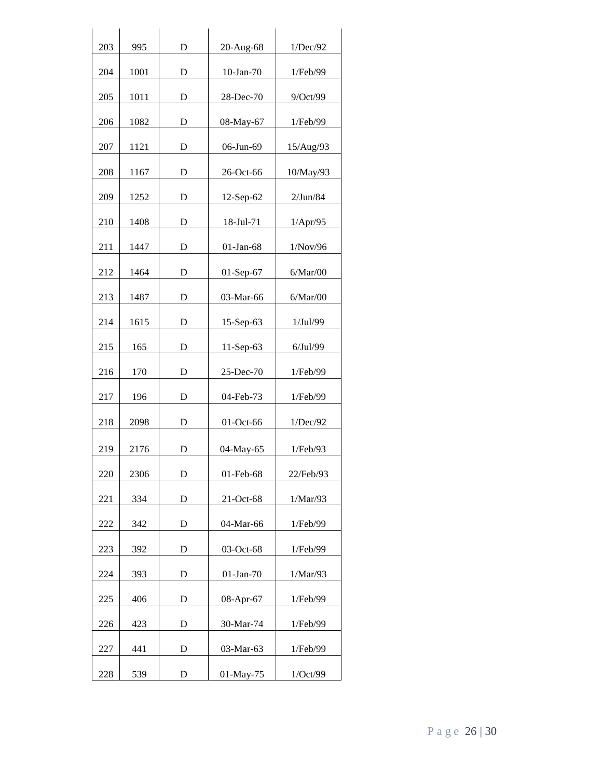| 203 | 995  | D | 20-Aug-68    | 1/Dec/92  |
|-----|------|---|--------------|-----------|
| 204 | 1001 | D | $10-Ian-70$  | 1/Feb/99  |
| 205 | 1011 | D | 28-Dec-70    | 9/Oct/99  |
| 206 | 1082 | D | 08-May-67    | 1/Feb/99  |
| 207 | 1121 | D | 06-Jun-69    | 15/Aug/93 |
| 208 | 1167 | D | 26-Oct-66    | 10/May/93 |
| 209 | 1252 | D | 12-Sep-62    | 2/Jun/84  |
| 210 | 1408 | D | 18-Jul-71    | 1/Apr/95  |
| 211 | 1447 | D | $01$ -Jan-68 | 1/Nov/96  |
| 212 | 1464 | D | 01-Sep-67    | 6/Mar/00  |
| 213 | 1487 | D | 03-Mar-66    | 6/Mar/00  |
| 214 | 1615 | D | 15-Sep-63    | 1/Jul/99  |
| 215 | 165  | D | 11-Sep-63    | 6/Jul/99  |
| 216 | 170  | D | 25-Dec-70    | 1/Feb/99  |
| 217 | 196  | D | 04-Feb-73    | 1/Feb/99  |
| 218 | 2098 | D | 01-Oct-66    | 1/Dec/92  |
| 219 | 2176 | D | 04-May-65    | 1/Feb/93  |
| 220 | 2306 | D | 01-Feb-68    | 22/Feb/93 |
| 221 | 334  | D | 21-Oct-68    | 1/Mar/93  |
| 222 | 342  | D | 04-Mar-66    | 1/Feb/99  |
| 223 | 392  | D | 03-Oct-68    | 1/Feb/99  |
| 224 | 393  | D | $01-Jan-70$  | 1/Mar/93  |
| 225 | 406  | D | 08-Apr-67    | 1/Feb/99  |
| 226 | 423  | D | 30-Mar-74    | 1/Feb/99  |
| 227 | 441  | D | 03-Mar-63    | 1/Feb/99  |
| 228 | 539  | D | 01-May-75    | 1/Oct/99  |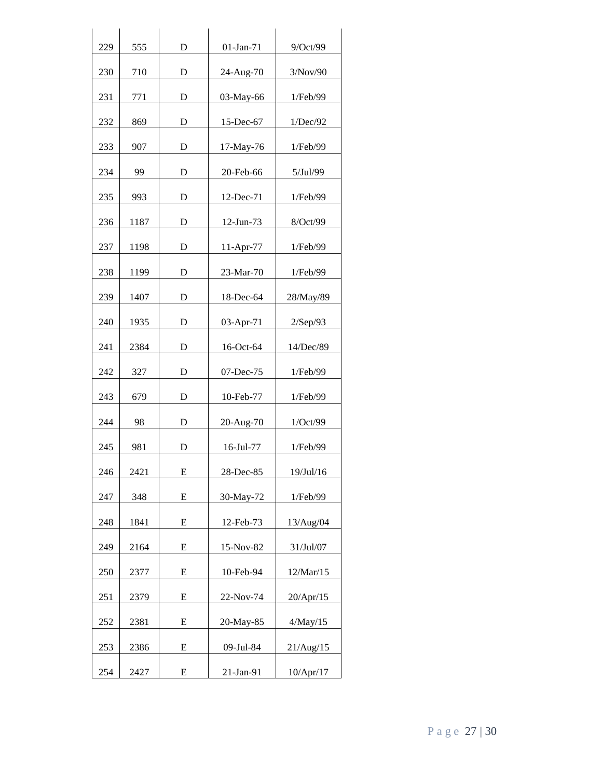| 229 | 555  | D | 01-Jan-71 | 9/Oct/99  |
|-----|------|---|-----------|-----------|
| 230 | 710  | D | 24-Aug-70 | 3/Nov/90  |
| 231 | 771  | D | 03-May-66 | 1/Feb/99  |
| 232 | 869  | D | 15-Dec-67 | 1/Dec/92  |
| 233 | 907  | D | 17-May-76 | 1/Feb/99  |
| 234 | 99   | D | 20-Feb-66 | 5/Jul/99  |
| 235 | 993  | D | 12-Dec-71 | 1/Feb/99  |
| 236 | 1187 | D | 12-Jun-73 | 8/Oct/99  |
| 237 | 1198 | D | 11-Apr-77 | 1/Feb/99  |
| 238 | 1199 | D | 23-Mar-70 | 1/Feb/99  |
| 239 | 1407 | D | 18-Dec-64 | 28/May/89 |
| 240 | 1935 | D | 03-Apr-71 | 2/Sep/93  |
| 241 | 2384 | D | 16-Oct-64 | 14/Dec/89 |
| 242 | 327  | D | 07-Dec-75 | 1/Feb/99  |
| 243 | 679  | D | 10-Feb-77 | 1/Feb/99  |
| 244 | 98   | D | 20-Aug-70 | 1/Oct/99  |
| 245 | 981  | D | 16-Jul-77 | 1/Feb/99  |
| 246 | 2421 | E | 28-Dec-85 | 19/Jul/16 |
| 247 | 348  | E | 30-May-72 | 1/Feb/99  |
| 248 | 1841 | E | 12-Feb-73 | 13/Aug/04 |
| 249 | 2164 | E | 15-Nov-82 | 31/Jul/07 |
| 250 | 2377 | E | 10-Feb-94 | 12/Mar/15 |
| 251 | 2379 | E | 22-Nov-74 | 20/Apr/15 |
| 252 | 2381 | E | 20-May-85 | 4/May/15  |
| 253 | 2386 | E | 09-Jul-84 | 21/Aug/15 |
| 254 | 2427 | Ε | 21-Jan-91 | 10/Apr/17 |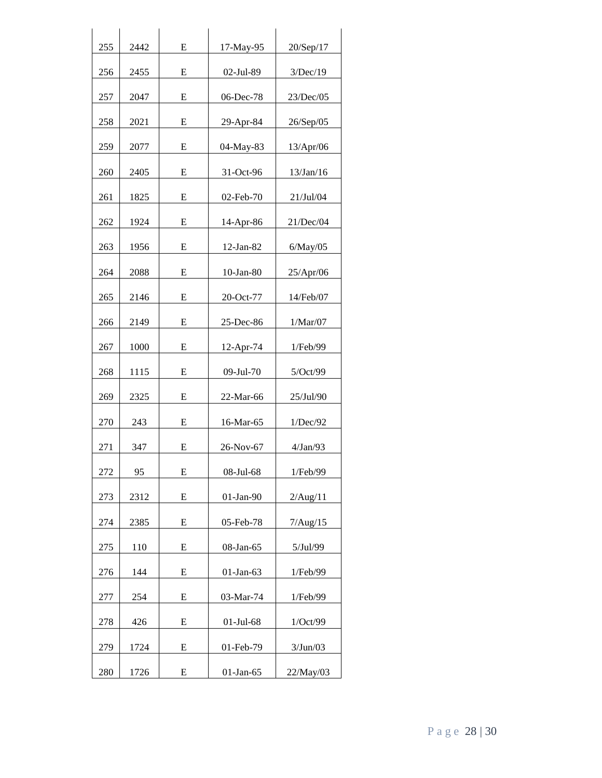| 255 | 2442 | E | 17-May-95    | 20/Sep/17 |
|-----|------|---|--------------|-----------|
| 256 | 2455 | E | 02-Jul-89    | 3/Dec/19  |
| 257 | 2047 | E | 06-Dec-78    | 23/Dec/05 |
| 258 | 2021 | E | 29-Apr-84    | 26/Sep/05 |
| 259 | 2077 | E | 04-May-83    | 13/Apr/06 |
| 260 | 2405 | E | 31-Oct-96    | 13/Jan/16 |
| 261 | 1825 | E | 02-Feb-70    | 21/Jul/04 |
| 262 | 1924 | E | 14-Apr-86    | 21/Dec/04 |
| 263 | 1956 | E | $12$ -Jan-82 | 6/May/05  |
| 264 | 2088 | E | $10-Ian-80$  | 25/Apr/06 |
| 265 | 2146 | E | 20-Oct-77    | 14/Feb/07 |
| 266 | 2149 | E | 25-Dec-86    | 1/Mar/07  |
| 267 | 1000 | E | 12-Apr-74    | 1/Feb/99  |
| 268 | 1115 | E | 09-Jul-70    | 5/Oct/99  |
| 269 | 2325 | E | 22-Mar-66    | 25/Jul/90 |
| 270 | 243  | E | 16-Mar-65    | 1/Dec/92  |
| 271 | 347  | E | 26-Nov-67    | 4/Jan/93  |
| 272 | 95   | E | 08-Jul-68    | 1/Feb/99  |
| 273 | 2312 | E | $01$ -Jan-90 | 2/Aug/11  |
| 274 | 2385 | E | 05-Feb-78    | 7/Aug/15  |
| 275 | 110  | E | 08-Jan-65    | 5/Jul/99  |
| 276 | 144  | E | $01-Jan-63$  | 1/Feb/99  |
| 277 | 254  | E | 03-Mar-74    | 1/Feb/99  |
| 278 | 426  | E | $01$ -Jul-68 | 1/Oct/99  |
| 279 | 1724 | E | 01-Feb-79    | 3/Jun/03  |
| 280 | 1726 | Ε | $01$ -Jan-65 | 22/May/03 |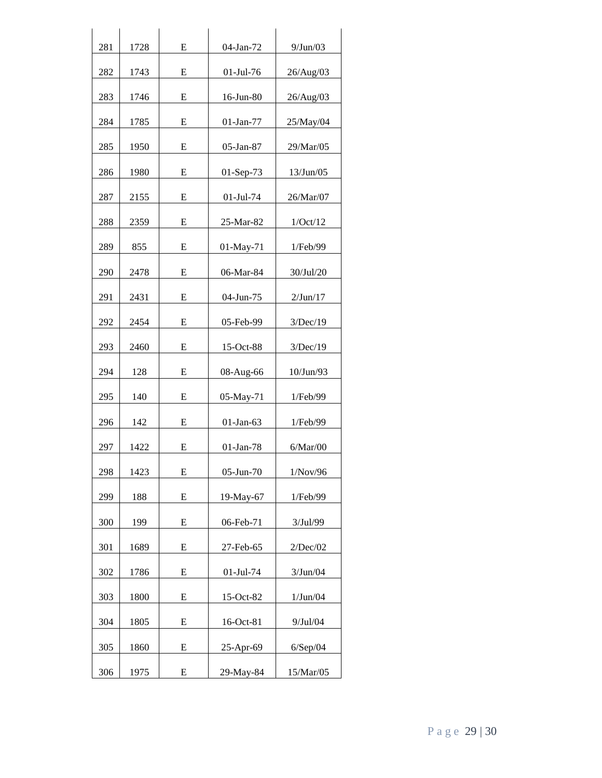| 281 | 1728 | E | 04-Jan-72    | 9/Jun/03  |
|-----|------|---|--------------|-----------|
| 282 | 1743 | E | $01$ -Jul-76 | 26/Aug/03 |
| 283 | 1746 | E | 16-Jun-80    | 26/Aug/03 |
| 284 | 1785 | E | $01$ -Jan-77 | 25/May/04 |
| 285 | 1950 | E | 05-Jan-87    | 29/Mar/05 |
| 286 | 1980 | E | $01-Sep-73$  | 13/Jun/05 |
| 287 | 2155 | E | $01$ -Jul-74 | 26/Mar/07 |
| 288 | 2359 | E | $25-Mar-82$  | 1/Oct/12  |
| 289 | 855  | E | 01-May-71    | 1/Feb/99  |
| 290 | 2478 | E | 06-Mar-84    | 30/Jul/20 |
| 291 | 2431 | E | 04-Jun-75    | 2/Jun/17  |
| 292 | 2454 | E | 05-Feb-99    | 3/Dec/19  |
| 293 | 2460 | E | 15-Oct-88    | 3/Dec/19  |
| 294 | 128  | E | 08-Aug-66    | 10/Jun/93 |
| 295 | 140  | E | 05-May-71    | 1/Feb/99  |
| 296 | 142  | E | $01$ -Jan-63 | 1/Feb/99  |
| 297 | 1422 | Е | $01$ -Jan-78 | 6/Mar/00  |
| 298 | 1423 | E | 05-Jun-70    | 1/Nov/96  |
| 299 | 188  | E | 19-May-67    | 1/Feb/99  |
| 300 | 199  | E | 06-Feb-71    | 3/Jul/99  |
| 301 | 1689 | E | 27-Feb-65    | 2/Dec/02  |
| 302 | 1786 | Е | $01-Jul-74$  | 3/Jun/04  |
| 303 | 1800 | E | $15-Oct-82$  | 1/Jun/04  |
| 304 | 1805 | E | 16-Oct-81    | 9/Jul/04  |
| 305 | 1860 | E | 25-Apr-69    | 6/Sep/04  |
| 306 | 1975 | E | 29-May-84    | 15/Mar/05 |